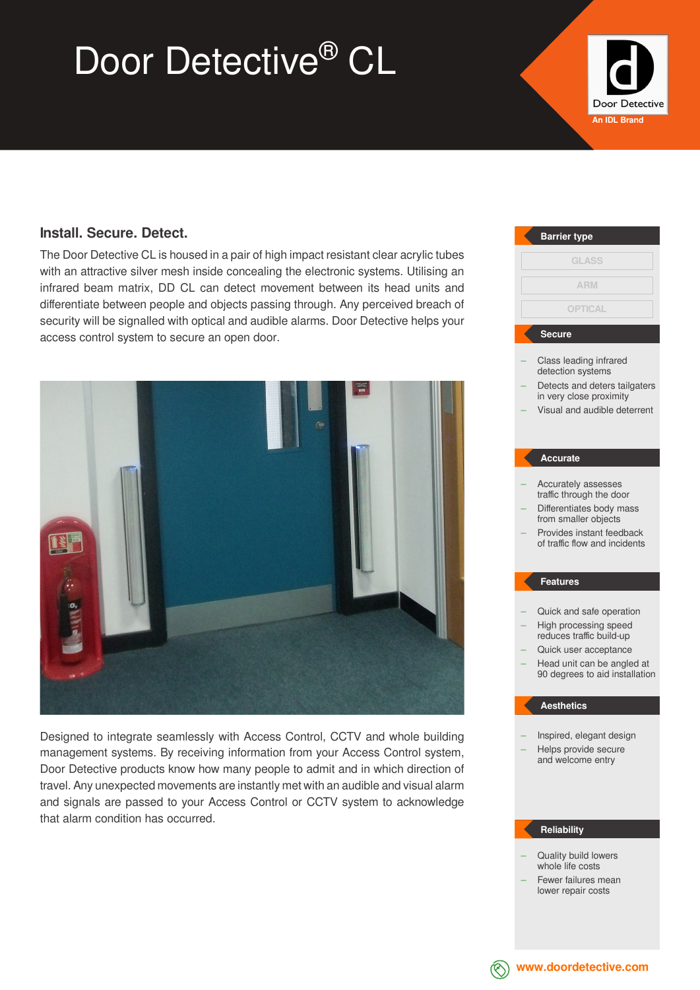# Door Detective<sup>®</sup> CL



### **Install. Secure. Detect.**

The Door Detective CL is housed in a pair of high impact resistant clear acrylic tubes with an attractive silver mesh inside concealing the electronic systems. Utilising an infrared beam matrix, DD CL can detect movement between its head units and differentiate between people and objects passing through. Any perceived breach of security will be signalled with optical and audible alarms. Door Detective helps your access control system to secure an open door.



Designed to integrate seamlessly with Access Control, CCTV and whole building management systems. By receiving information from your Access Control system, Door Detective products know how many people to admit and in which direction of travel. Any unexpected movements are instantly met with an audible and visual alarm and signals are passed to your Access Control or CCTV system to acknowledge that alarm condition has occurred.

## Class leading infrared detection systems Detects and deters tailgaters in very close proximity – Visual and audible deterrent – Accurately assesses traffic through the door – Differentiates body mass from smaller objects – Provides instant feedback of traffic flow and incidents – Quick and safe operation – High processing speed reduces traffic build-up – Quick user acceptance – Head unit can be angled at 90 degrees to aid installation – Inspired, elegant design – Helps provide secure and welcome entry **Barrier type Secure Accurate Features Aesthetics GLASS OPTICAL ARM**

### **Reliability**

- Quality build lowers whole life costs
- Fewer failures mean lower repair costs